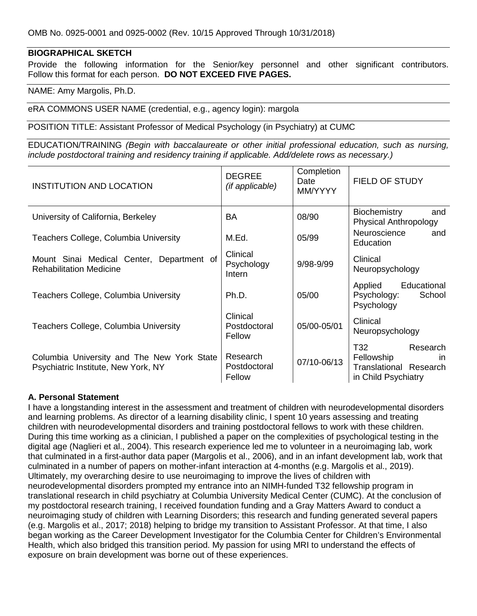## **BIOGRAPHICAL SKETCH**

Provide the following information for the Senior/key personnel and other significant contributors. Follow this format for each person. **DO NOT EXCEED FIVE PAGES.**

NAME: Amy Margolis, Ph.D.

eRA COMMONS USER NAME (credential, e.g., agency login): margola

POSITION TITLE: Assistant Professor of Medical Psychology (in Psychiatry) at CUMC

EDUCATION/TRAINING *(Begin with baccalaureate or other initial professional education, such as nursing, include postdoctoral training and residency training if applicable. Add/delete rows as necessary.)*

| <b>INSTITUTION AND LOCATION</b>                                                   | <b>DEGREE</b><br>(if applicable)   | Completion<br>Date<br>MM/YYYY | <b>FIELD OF STUDY</b>                                                                                                                                                                            |
|-----------------------------------------------------------------------------------|------------------------------------|-------------------------------|--------------------------------------------------------------------------------------------------------------------------------------------------------------------------------------------------|
| University of California, Berkeley                                                | <b>BA</b>                          | 08/90                         | <b>Biochemistry</b><br>and<br><b>Physical Anthropology</b>                                                                                                                                       |
| Teachers College, Columbia University                                             | M.Ed.                              | 05/99                         | Neuroscience<br>and<br>Education                                                                                                                                                                 |
| Mount Sinai Medical Center, Department of<br><b>Rehabilitation Medicine</b>       | Clinical<br>Psychology<br>Intern   | $9/98 - 9/99$                 | Clinical<br>Neuropsychology                                                                                                                                                                      |
| Teachers College, Columbia University                                             | Ph.D.                              | 05/00                         | Educational<br>Applied<br>Psychology:<br>School<br>Psychology                                                                                                                                    |
| Teachers College, Columbia University                                             | Clinical<br>Postdoctoral<br>Fellow | 05/00-05/01                   | Clinical<br>Neuropsychology                                                                                                                                                                      |
| Columbia University and The New York State<br>Psychiatric Institute, New York, NY | Research<br>Postdoctoral<br>Fellow | 07/10-06/13                   | T32 and the T32 and the T32 and the T32 and the T32 and the T32 and the T32 and the T32 and the T32 and the T3<br>Research<br>Fellowship<br>in.<br>Translational Research<br>in Child Psychiatry |

#### **A. Personal Statement**

I have a longstanding interest in the assessment and treatment of children with neurodevelopmental disorders and learning problems. As director of a learning disability clinic, I spent 10 years assessing and treating children with neurodevelopmental disorders and training postdoctoral fellows to work with these children. During this time working as a clinician, I published a paper on the complexities of psychological testing in the digital age (Naglieri et al., 2004). This research experience led me to volunteer in a neuroimaging lab, work that culminated in a first-author data paper (Margolis et al., 2006), and in an infant development lab, work that culminated in a number of papers on mother-infant interaction at 4-months (e.g. Margolis et al., 2019). Ultimately, my overarching desire to use neuroimaging to improve the lives of children with neurodevelopmental disorders prompted my entrance into an NIMH-funded T32 fellowship program in translational research in child psychiatry at Columbia University Medical Center (CUMC). At the conclusion of my postdoctoral research training, I received foundation funding and a Gray Matters Award to conduct a neuroimaging study of children with Learning Disorders; this research and funding generated several papers (e.g. Margolis et al., 2017; 2018) helping to bridge my transition to Assistant Professor. At that time, I also began working as the Career Development Investigator for the Columbia Center for Children's Environmental Health, which also bridged this transition period. My passion for using MRI to understand the effects of exposure on brain development was borne out of these experiences.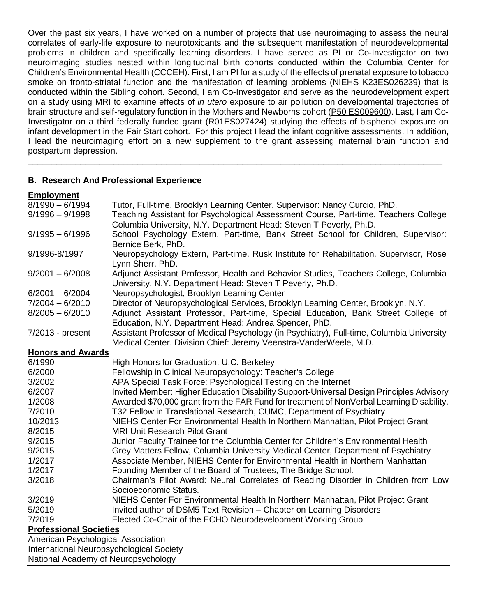Over the past six years, I have worked on a number of projects that use neuroimaging to assess the neural correlates of early-life exposure to neurotoxicants and the subsequent manifestation of neurodevelopmental problems in children and specifically learning disorders. I have served as PI or Co-Investigator on two neuroimaging studies nested within longitudinal birth cohorts conducted within the Columbia Center for Children's Environmental Health (CCCEH). First, I am PI for a study of the effects of prenatal exposure to tobacco smoke on fronto-striatal function and the manifestation of learning problems (NIEHS K23ES026239) that is conducted within the Sibling cohort. Second, I am Co-Investigator and serve as the neurodevelopment expert on a study using MRI to examine effects of *in utero* exposure to air pollution on developmental trajectories of brain structure and self-regulatory function in the Mothers and Newborns cohort (P50 ES009600). Last, I am Co-Investigator on a third federally funded grant (R01ES027424) studying the effects of bisphenol exposure on infant development in the Fair Start cohort. For this project I lead the infant cognitive assessments. In addition, I lead the neuroimaging effort on a new supplement to the grant assessing maternal brain function and postpartum depression.

\_\_\_\_\_\_\_\_\_\_\_\_\_\_\_\_\_\_\_\_\_\_\_\_\_\_\_\_\_\_\_\_\_\_\_\_\_\_\_\_\_\_\_\_\_\_\_\_\_\_\_\_\_\_\_\_\_\_\_\_\_\_\_\_\_\_\_\_\_\_\_\_\_\_\_\_\_\_\_\_\_\_\_\_\_\_\_

## **B. Research And Professional Experience**

#### **Employment**

| $8/1990 - 6/1994$                        | Tutor, Full-time, Brooklyn Learning Center. Supervisor: Nancy Curcio, PhD.                                                                                |
|------------------------------------------|-----------------------------------------------------------------------------------------------------------------------------------------------------------|
| $9/1996 - 9/1998$                        | Teaching Assistant for Psychological Assessment Course, Part-time, Teachers College<br>Columbia University, N.Y. Department Head: Steven T Peverly, Ph.D. |
| $9/1995 - 6/1996$                        | School Psychology Extern, Part-time, Bank Street School for Children, Supervisor:                                                                         |
|                                          | Bernice Berk, PhD.                                                                                                                                        |
| 9/1996-8/1997                            | Neuropsychology Extern, Part-time, Rusk Institute for Rehabilitation, Supervisor, Rose<br>Lynn Sherr, PhD.                                                |
| $9/2001 - 6/2008$                        | Adjunct Assistant Professor, Health and Behavior Studies, Teachers College, Columbia<br>University, N.Y. Department Head: Steven T Peverly, Ph.D.         |
| $6/2001 - 6/2004$                        | Neuropsychologist, Brooklyn Learning Center                                                                                                               |
| $7/2004 - 6/2010$                        | Director of Neuropsychological Services, Brooklyn Learning Center, Brooklyn, N.Y.                                                                         |
| $8/2005 - 6/2010$                        | Adjunct Assistant Professor, Part-time, Special Education, Bank Street College of                                                                         |
|                                          | Education, N.Y. Department Head: Andrea Spencer, PhD.                                                                                                     |
| 7/2013 - present                         | Assistant Professor of Medical Psychology (in Psychiatry), Full-time, Columbia University                                                                 |
|                                          | Medical Center. Division Chief: Jeremy Veenstra-VanderWeele, M.D.                                                                                         |
| <b>Honors and Awards</b>                 |                                                                                                                                                           |
| 6/1990                                   | High Honors for Graduation, U.C. Berkeley                                                                                                                 |
| 6/2000                                   | Fellowship in Clinical Neuropsychology: Teacher's College                                                                                                 |
| 3/2002                                   | APA Special Task Force: Psychological Testing on the Internet                                                                                             |
| 6/2007                                   | Invited Member: Higher Education Disability Support-Universal Design Principles Advisory                                                                  |
| 1/2008                                   | Awarded \$70,000 grant from the FAR Fund for treatment of NonVerbal Learning Disability.                                                                  |
| 7/2010                                   | T32 Fellow in Translational Research, CUMC, Department of Psychiatry                                                                                      |
| 10/2013                                  | NIEHS Center For Environmental Health In Northern Manhattan, Pilot Project Grant                                                                          |
| 8/2015                                   | <b>MRI Unit Research Pilot Grant</b>                                                                                                                      |
| 9/2015                                   | Junior Faculty Trainee for the Columbia Center for Children's Environmental Health                                                                        |
| 9/2015                                   | Grey Matters Fellow, Columbia University Medical Center, Department of Psychiatry                                                                         |
| 1/2017                                   | Associate Member, NIEHS Center for Environmental Health in Northern Manhattan                                                                             |
| 1/2017                                   | Founding Member of the Board of Trustees, The Bridge School.                                                                                              |
| 3/2018                                   | Chairman's Pilot Award: Neural Correlates of Reading Disorder in Children from Low                                                                        |
|                                          | Socioeconomic Status.                                                                                                                                     |
| 3/2019                                   | NIEHS Center For Environmental Health In Northern Manhattan, Pilot Project Grant                                                                          |
| 5/2019                                   | Invited author of DSM5 Text Revision - Chapter on Learning Disorders                                                                                      |
| 7/2019                                   | Elected Co-Chair of the ECHO Neurodevelopment Working Group                                                                                               |
| <b>Professional Societies</b>            |                                                                                                                                                           |
| American Psychological Association       |                                                                                                                                                           |
| International Neuropsychological Society |                                                                                                                                                           |

National Academy of Neuropsychology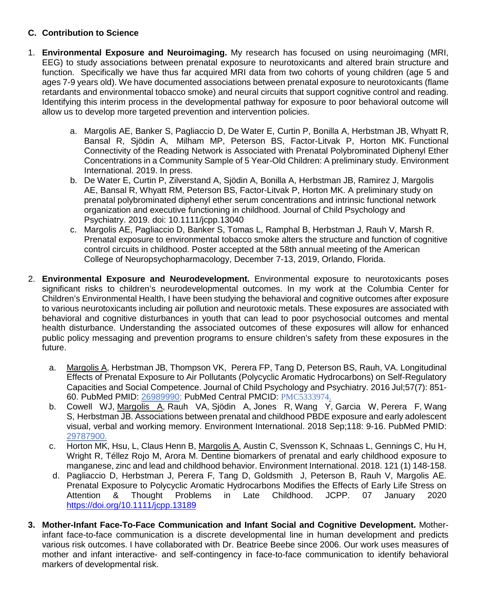# **C. Contribution to Science**

- 1. **Environmental Exposure and Neuroimaging.** My research has focused on using neuroimaging (MRI, EEG) to study associations between prenatal exposure to neurotoxicants and altered brain structure and function. Specifically we have thus far acquired MRI data from two cohorts of young children (age 5 and ages 7-9 years old). We have documented associations between prenatal exposure to neurotoxicants (flame retardants and environmental tobacco smoke) and neural circuits that support cognitive control and reading. Identifying this interim process in the developmental pathway for exposure to poor behavioral outcome will allow us to develop more targeted prevention and intervention policies.
	- a. Margolis AE, Banker S, Pagliaccio D, De Water E, Curtin P, Bonilla A, Herbstman JB, Whyatt R, Bansal R, Sjödin A, Milham MP, Peterson BS, Factor-Litvak P, Horton MK. Functional Connectivity of the Reading Network is Associated with Prenatal Polybrominated Diphenyl Ether Concentrations in a Community Sample of 5 Year-Old Children: A preliminary study. Environment International. 2019. In press.
	- b. De Water E, Curtin P, Zilverstand A, Sjödin A, Bonilla A, Herbstman JB, Ramirez J, Margolis AE, Bansal R, Whyatt RM, Peterson BS, Factor-Litvak P, Horton MK. A preliminary study on prenatal polybrominated diphenyl ether serum concentrations and intrinsic functional network organization and executive functioning in childhood. Journal of Child Psychology and Psychiatry. 2019. doi: 10.1111/jcpp.13040
	- c. Margolis AE, Pagliaccio D, Banker S, Tomas L, Ramphal B, Herbstman J, Rauh V, Marsh R. Prenatal exposure to environmental tobacco smoke alters the structure and function of cognitive control circuits in childhood. Poster accepted at the 58th annual meeting of the American College of Neuropsychopharmacology, December 7-13, 2019, Orlando, Florida.
- 2. **Environmental Exposure and Neurodevelopment.** Environmental exposure to neurotoxicants poses significant risks to children's neurodevelopmental outcomes. In my work at the Columbia Center for Children's Environmental Health, I have been studying the behavioral and cognitive outcomes after exposure to various neurotoxicants including air pollution and neurotoxic metals. These exposures are associated with behavioral and cognitive disturbances in youth that can lead to poor psychosocial outcomes and mental health disturbance. Understanding the associated outcomes of these exposures will allow for enhanced public policy messaging and prevention programs to ensure children's safety from these exposures in the future.
	- a. Margolis A, Herbstman JB, Thompson VK, Perera FP, Tang D, Peterson BS, Rauh, VA. Longitudinal Effects of Prenatal Exposure to Air Pollutants (Polycyclic Aromatic Hydrocarbons) on Self-Regulatory Capacities and Social Competence. Journal of Child Psychology and Psychiatry. 2016 Jul;57(7): 851- 60. PubMed PMID: 26989990; PubMed Central PMCID: PMC5333974.
	- b. [Cowell WJ,](https://www.ncbi.nlm.nih.gov/pubmed/?term=Cowell%20WJ%5BAuthor%5D&cauthor=true&cauthor_uid=29787900) [Margolis A,](https://www.ncbi.nlm.nih.gov/pubmed/?term=Margolis%20A%5BAuthor%5D&cauthor=true&cauthor_uid=29787900) [Rauh VA,](https://www.ncbi.nlm.nih.gov/pubmed/?term=Rauh%20VA%5BAuthor%5D&cauthor=true&cauthor_uid=29787900) [Sjödin A,](https://www.ncbi.nlm.nih.gov/pubmed/?term=Sj%C3%B6din%20A%5BAuthor%5D&cauthor=true&cauthor_uid=29787900) [Jones R,](https://www.ncbi.nlm.nih.gov/pubmed/?term=Jones%20R%5BAuthor%5D&cauthor=true&cauthor_uid=29787900) [Wang Y,](https://www.ncbi.nlm.nih.gov/pubmed/?term=Wang%20Y%5BAuthor%5D&cauthor=true&cauthor_uid=29787900) [Garcia W,](https://www.ncbi.nlm.nih.gov/pubmed/?term=Garcia%20W%5BAuthor%5D&cauthor=true&cauthor_uid=29787900) [Perera F,](https://www.ncbi.nlm.nih.gov/pubmed/?term=Perera%20F%5BAuthor%5D&cauthor=true&cauthor_uid=29787900) Wang [S,](https://www.ncbi.nlm.nih.gov/pubmed/?term=Wang%20S%5BAuthor%5D&cauthor=true&cauthor_uid=29787900) [Herbstman JB.](https://www.ncbi.nlm.nih.gov/pubmed/?term=Herbstman%20JB%5BAuthor%5D&cauthor=true&cauthor_uid=29787900) Associations between prenatal and childhood PBDE exposure and early adolescent visual, verbal and working memory. Environment International. 2018 Sep;118: 9-16. PubMed PMID: 29787900.
	- c. Horton MK, Hsu, L, Claus Henn B, Margolis A, Austin C, Svensson K, Schnaas L, Gennings C, Hu H, Wright R, Téllez Rojo M, Arora M. Dentine biomarkers of prenatal and early childhood exposure to manganese, zinc and lead and childhood behavior. Environment International. 2018. 121 (1) 148-158.
	- d. Pagliaccio D, Herbstman J, Perera F, Tang D, Goldsmith J, Peterson B, Rauh V, Margolis AE. Prenatal Exposure to Polycyclic Aromatic Hydrocarbons Modifies the Effects of Early Life Stress on Attention & Thought Problems in Late Childhood. JCPP. 07 January 2020 <https://doi.org/10.1111/jcpp.13189>
- **3. Mother-Infant Face-To-Face Communication and Infant Social and Cognitive Development.** Motherinfant face-to-face communication is a discrete developmental line in human development and predicts various risk outcomes. I have collaborated with Dr. Beatrice Beebe since 2006. Our work uses measures of mother and infant interactive- and self-contingency in face-to-face communication to identify behavioral markers of developmental risk.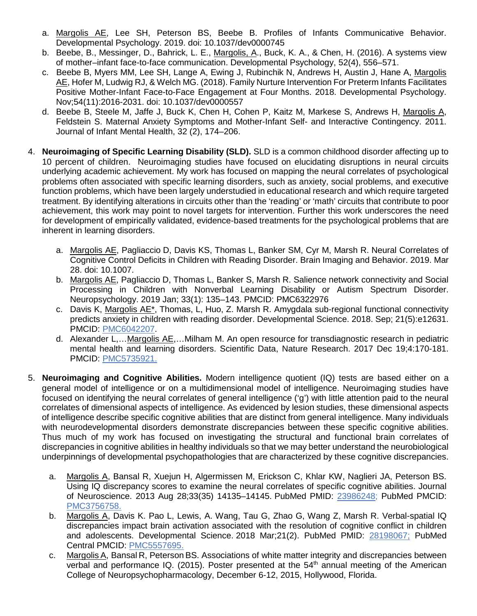- a. Margolis AE, Lee SH, Peterson BS, Beebe B. Profiles of Infants Communicative Behavior. Developmental Psychology. 2019. doi: 10.1037/dev0000745
- b. Beebe, B., Messinger, D., Bahrick, L. E., Margolis, A., Buck, K. A., & Chen, H. (2016). A systems view of mother–infant face-to-face communication. Developmental Psychology, 52(4), 556–571.
- c. Beebe B, Myers MM, Lee SH, Lange A, Ewing J, Rubinchik N, Andrews H, Austin J, Hane A, Margolis AE, Hofer M, Ludwig RJ, & Welch MG. (2018). Family Nurture Intervention For Preterm Infants Facilitates Positive Mother-Infant Face-to-Face Engagement at Four Months. 2018. Developmental Psychology. Nov;54(11):2016-2031. doi: 10.1037/dev0000557
- d. Beebe B, Steele M, Jaffe J, Buck K, Chen H, Cohen P, Kaitz M, Markese S, Andrews H, Margolis A, Feldstein S. Maternal Anxiety Symptoms and Mother-Infant Self- and Interactive Contingency. 2011. Journal of Infant Mental Health, 32 (2), 174–206.
- 4. **Neuroimaging of Specific Learning Disability (SLD).** SLD is a common childhood disorder affecting up to 10 percent of children. Neuroimaging studies have focused on elucidating disruptions in neural circuits underlying academic achievement. My work has focused on mapping the neural correlates of psychological problems often associated with specific learning disorders, such as anxiety, social problems, and executive function problems, which have been largely understudied in educational research and which require targeted treatment. By identifying alterations in circuits other than the 'reading' or 'math' circuits that contribute to poor achievement, this work may point to novel targets for intervention. Further this work underscores the need for development of empirically validated, evidence-based treatments for the psychological problems that are inherent in learning disorders.
	- a. Margolis AE, Pagliaccio D, Davis KS, Thomas L, Banker SM, Cyr M, Marsh R. Neural [Correlates](https://www.ncbi.nlm.nih.gov/pubmed/30919230) of [Cognitive](https://www.ncbi.nlm.nih.gov/pubmed/30919230) Control Deficits in Children with Reading Disorder. Brain Imaging and Behavior. 2019. Mar 28. doi: 10.1007.
	- b. Margolis AE, Pagliaccio D, Thomas L, Banker S, Marsh R. Salience network connectivity and Social Processing in Children with Nonverbal Learning Disability or Autism Spectrum Disorder. Neuropsychology. 2019 Jan; 33(1): 135–143. PMCID: PMC6322976
	- c. Davis K, Margolis AE\*, Thomas, L, Huo, Z. Marsh R. Amygdala sub-regional functional connectivity predicts anxiety in children with reading disorder. Developmental Science. 2018. Sep; 21(5):e12631. PMCID: PMC6042207.
	- d. Alexander L,…Margolis AE,…Milham M. An open resource for transdiagnostic research in pediatric mental health and learning disorders. Scientific Data, Nature Research. 2017 Dec 19;4:170-181. PMCID: PMC5735921.
- 5. **Neuroimaging and Cognitive Abilities.** Modern intelligence quotient (IQ) tests are based either on a general model of intelligence or on a multidimensional model of intelligence. Neuroimaging studies have focused on identifying the neural correlates of general intelligence ('g') with little attention paid to the neural correlates of dimensional aspects of intelligence. As evidenced by lesion studies, these dimensional aspects of intelligence describe specific cognitive abilities that are distinct from general intelligence. Many individuals with neurodevelopmental disorders demonstrate discrepancies between these specific cognitive abilities. Thus much of my work has focused on investigating the structural and functional brain correlates of discrepancies in cognitive abilities in healthy individuals so that we may better understand the neurobiological underpinnings of developmental psychopathologies that are characterized by these cognitive discrepancies.
	- a. Margolis A, Bansal R, Xuejun H, Algermissen M, Erickson C, Khlar KW, Naglieri JA, Peterson BS. Using IQ discrepancy scores to examine the neural correlates of specific cognitive abilities. Journal of Neuroscience. 2013 Aug 28;33(35) 14135–14145. PubMed PMID: [23986248;](https://www.ncbi.nlm.nih.gov/pubmed/23986248) PubMed PMCID: PMC3756758.
	- b. Margolis A, Davis K. Pao L, Lewis, A. Wang, Tau G, Zhao G, Wang Z, Marsh R. Verbal-spatial IQ discrepancies impact brain activation associated with the resolution of cognitive conflict in children and adolescents. Developmental Science. 2018 Mar;21(2). PubMed PMID: 28198067; PubMed Central PMCID: PMC5557695.
	- c. Margolis A, Bansal R, Peterson BS. Associations of white matter integrity and discrepancies between verbal and performance IQ. (2015). Poster presented at the 54<sup>th</sup> annual meeting of the American College of Neuropsychopharmacology, December 6-12, 2015, Hollywood, Florida.